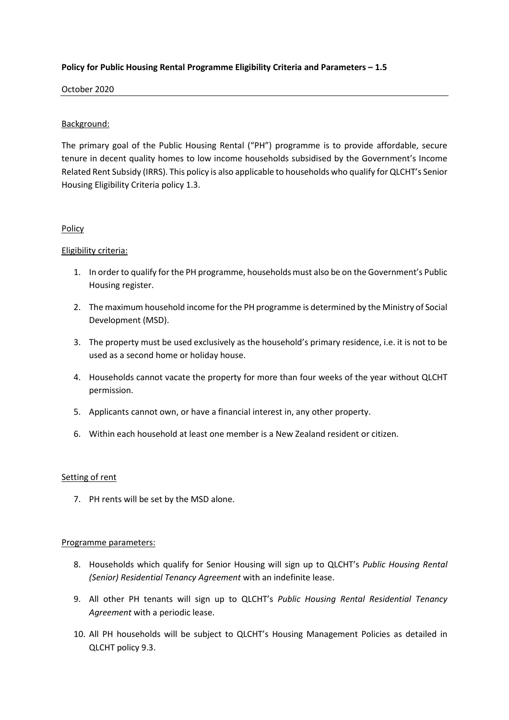# **Policy for Public Housing Rental Programme Eligibility Criteria and Parameters – 1.5**

# October 2020

# Background:

The primary goal of the Public Housing Rental ("PH") programme is to provide affordable, secure tenure in decent quality homes to low income households subsidised by the Government's Income Related Rent Subsidy (IRRS). This policy is also applicable to households who qualify for QLCHT's Senior Housing Eligibility Criteria policy 1.3.

## **Policy**

## Eligibility criteria:

- 1. In order to qualify for the PH programme, households must also be on the Government's Public Housing register.
- 2. The maximum household income for the PH programme is determined by the Ministry of Social Development (MSD).
- 3. The property must be used exclusively as the household's primary residence, i.e. it is not to be used as a second home or holiday house.
- 4. Households cannot vacate the property for more than four weeks of the year without QLCHT permission.
- 5. Applicants cannot own, or have a financial interest in, any other property.
- 6. Within each household at least one member is a New Zealand resident or citizen.

#### Setting of rent

7. PH rents will be set by the MSD alone.

#### Programme parameters:

- 8. Households which qualify for Senior Housing will sign up to QLCHT's *Public Housing Rental (Senior) Residential Tenancy Agreement* with an indefinite lease.
- 9. All other PH tenants will sign up to QLCHT's *Public Housing Rental Residential Tenancy Agreement* with a periodic lease.
- 10. All PH households will be subject to QLCHT's Housing Management Policies as detailed in QLCHT policy 9.3.